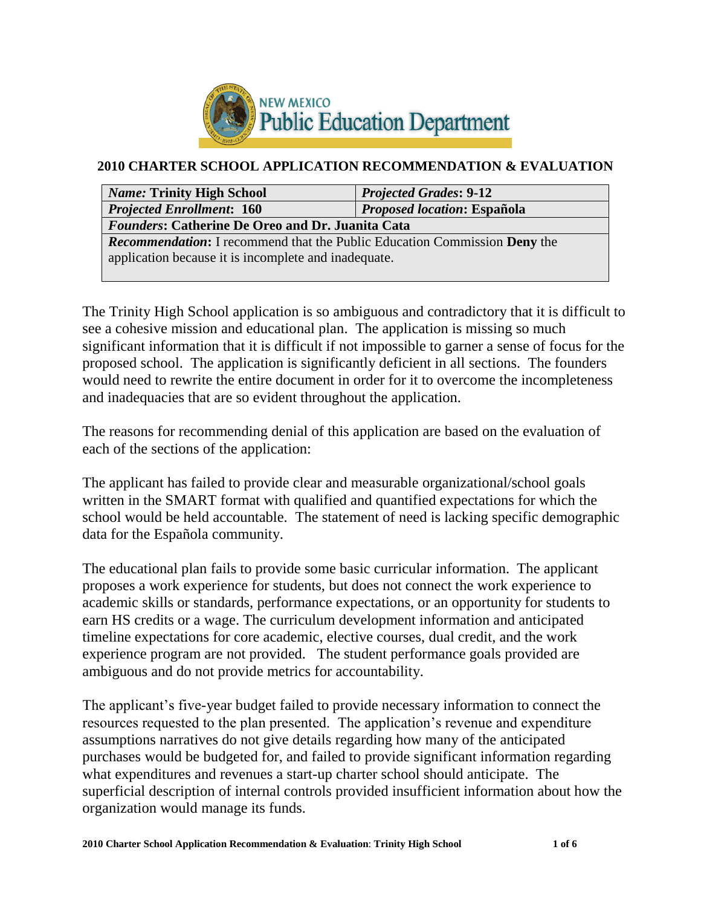

#### **2010 CHARTER SCHOOL APPLICATION RECOMMENDATION & EVALUATION**

| <b>Name: Trinity High School</b>                                                 | <b>Projected Grades: 9-12</b> |  |
|----------------------------------------------------------------------------------|-------------------------------|--|
| Proposed location: Española<br><b>Projected Enrollment: 160</b>                  |                               |  |
| <b>Founders: Catherine De Oreo and Dr. Juanita Cata</b>                          |                               |  |
| <b>Recommendation:</b> I recommend that the Public Education Commission Deny the |                               |  |
| application because it is incomplete and inadequate.                             |                               |  |
|                                                                                  |                               |  |

The Trinity High School application is so ambiguous and contradictory that it is difficult to see a cohesive mission and educational plan. The application is missing so much significant information that it is difficult if not impossible to garner a sense of focus for the proposed school. The application is significantly deficient in all sections. The founders would need to rewrite the entire document in order for it to overcome the incompleteness and inadequacies that are so evident throughout the application.

The reasons for recommending denial of this application are based on the evaluation of each of the sections of the application:

The applicant has failed to provide clear and measurable organizational/school goals written in the SMART format with qualified and quantified expectations for which the school would be held accountable. The statement of need is lacking specific demographic data for the Española community.

The educational plan fails to provide some basic curricular information. The applicant proposes a work experience for students, but does not connect the work experience to academic skills or standards, performance expectations, or an opportunity for students to earn HS credits or a wage. The curriculum development information and anticipated timeline expectations for core academic, elective courses, dual credit, and the work experience program are not provided. The student performance goals provided are ambiguous and do not provide metrics for accountability.

The applicant's five-year budget failed to provide necessary information to connect the resources requested to the plan presented. The application's revenue and expenditure assumptions narratives do not give details regarding how many of the anticipated purchases would be budgeted for, and failed to provide significant information regarding what expenditures and revenues a start-up charter school should anticipate. The superficial description of internal controls provided insufficient information about how the organization would manage its funds.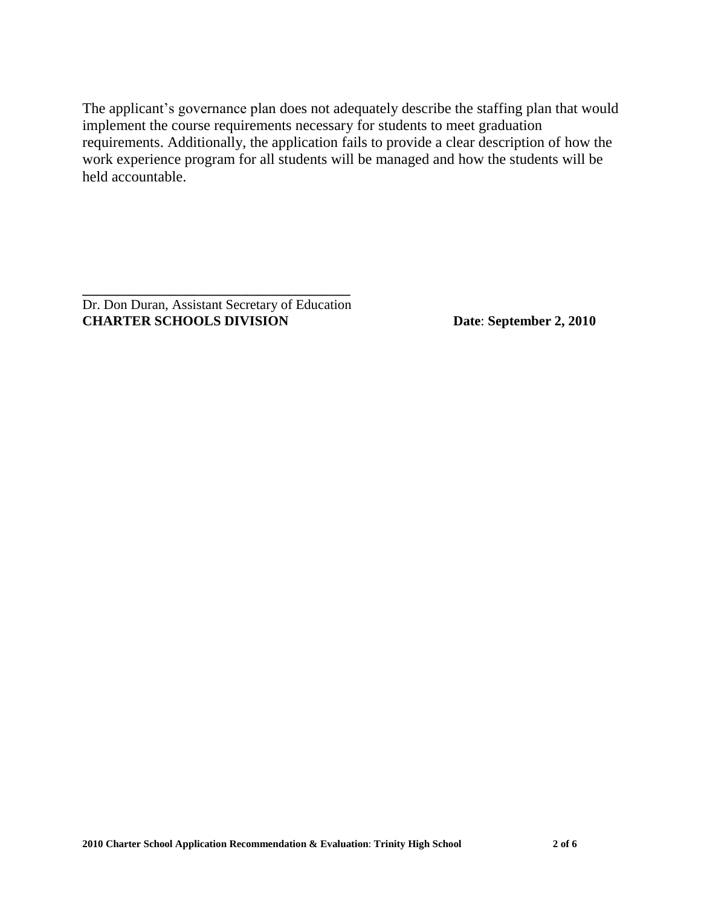The applicant's governance plan does not adequately describe the staffing plan that would implement the course requirements necessary for students to meet graduation requirements. Additionally, the application fails to provide a clear description of how the work experience program for all students will be managed and how the students will be held accountable.

Dr. Don Duran, Assistant Secretary of Education **CHARTER SCHOOLS DIVISION Date**: **September 2, 2010**

**\_\_\_\_\_\_\_\_\_\_\_\_\_\_\_\_\_\_\_\_\_\_\_\_\_\_\_\_\_\_\_\_\_\_\_\_\_\_\_**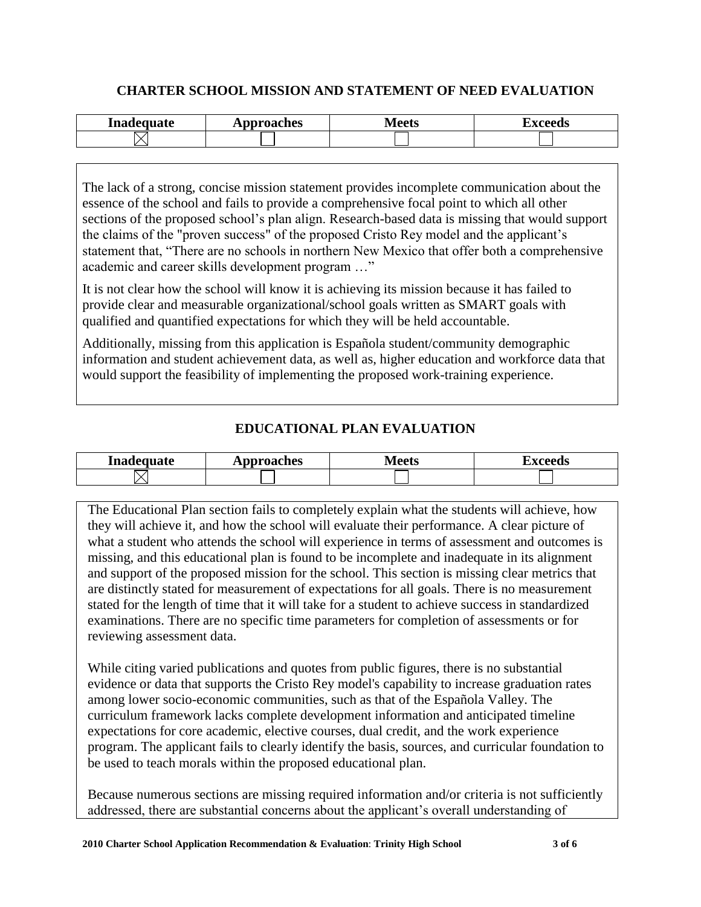#### **CHARTER SCHOOL MISSION AND STATEMENT OF NEED EVALUATION**

| Inadequate | pproaches  | $\Delta$ | . |
|------------|------------|----------|---|
| TIIN       | $\sqrt{2}$ | TECHO    |   |
|            |            |          |   |

The lack of a strong, concise mission statement provides incomplete communication about the essence of the school and fails to provide a comprehensive focal point to which all other sections of the proposed school's plan align. Research-based data is missing that would support the claims of the "proven success" of the proposed Cristo Rey model and the applicant's statement that, "There are no schools in northern New Mexico that offer both a comprehensive academic and career skills development program …"

It is not clear how the school will know it is achieving its mission because it has failed to provide clear and measurable organizational/school goals written as SMART goals with qualified and quantified expectations for which they will be held accountable.

Additionally, missing from this application is Española student/community demographic information and student achievement data, as well as, higher education and workforce data that would support the feasibility of implementing the proposed work-training experience.

# **EDUCATIONAL PLAN EVALUATION**

| Inadequate | pproaches<br>*** | 1000<br>しいに<br>- - - - | $-0.000$ |
|------------|------------------|------------------------|----------|
|            |                  |                        |          |

The Educational Plan section fails to completely explain what the students will achieve, how they will achieve it, and how the school will evaluate their performance. A clear picture of what a student who attends the school will experience in terms of assessment and outcomes is missing, and this educational plan is found to be incomplete and inadequate in its alignment and support of the proposed mission for the school. This section is missing clear metrics that are distinctly stated for measurement of expectations for all goals. There is no measurement stated for the length of time that it will take for a student to achieve success in standardized examinations. There are no specific time parameters for completion of assessments or for reviewing assessment data.

While citing varied publications and quotes from public figures, there is no substantial evidence or data that supports the Cristo Rey model's capability to increase graduation rates among lower socio-economic communities, such as that of the Española Valley. The curriculum framework lacks complete development information and anticipated timeline expectations for core academic, elective courses, dual credit, and the work experience program. The applicant fails to clearly identify the basis, sources, and curricular foundation to be used to teach morals within the proposed educational plan.

Because numerous sections are missing required information and/or criteria is not sufficiently addressed, there are substantial concerns about the applicant's overall understanding of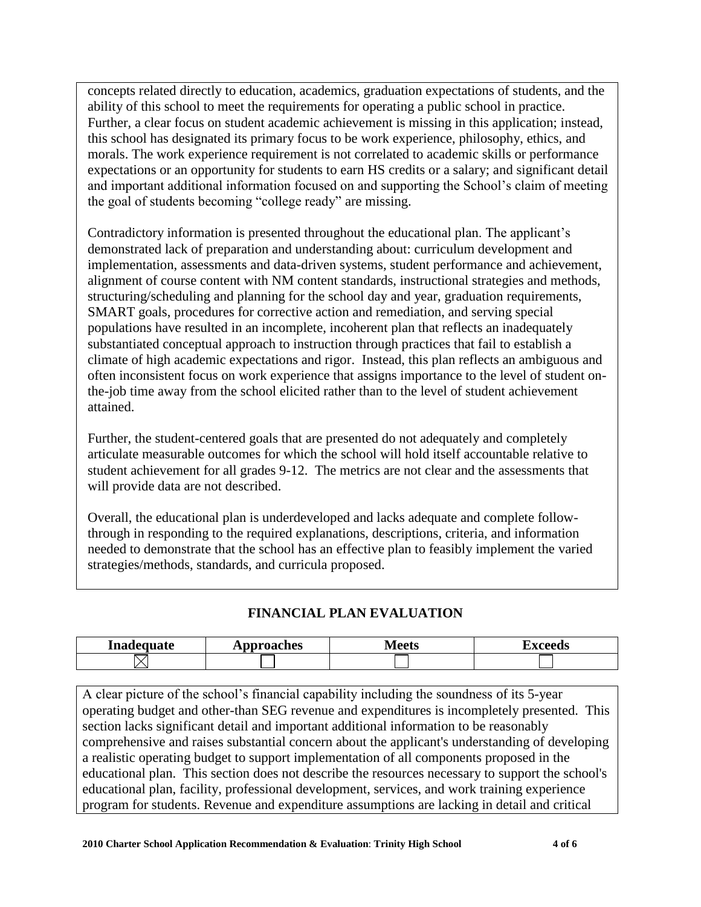concepts related directly to education, academics, graduation expectations of students, and the ability of this school to meet the requirements for operating a public school in practice. Further, a clear focus on student academic achievement is missing in this application; instead, this school has designated its primary focus to be work experience, philosophy, ethics, and morals. The work experience requirement is not correlated to academic skills or performance expectations or an opportunity for students to earn HS credits or a salary; and significant detail and important additional information focused on and supporting the School's claim of meeting the goal of students becoming "college ready" are missing.

Contradictory information is presented throughout the educational plan. The applicant's demonstrated lack of preparation and understanding about: curriculum development and implementation, assessments and data-driven systems, student performance and achievement, alignment of course content with NM content standards, instructional strategies and methods, structuring/scheduling and planning for the school day and year, graduation requirements, SMART goals, procedures for corrective action and remediation, and serving special populations have resulted in an incomplete, incoherent plan that reflects an inadequately substantiated conceptual approach to instruction through practices that fail to establish a climate of high academic expectations and rigor. Instead, this plan reflects an ambiguous and often inconsistent focus on work experience that assigns importance to the level of student onthe-job time away from the school elicited rather than to the level of student achievement attained.

Further, the student-centered goals that are presented do not adequately and completely articulate measurable outcomes for which the school will hold itself accountable relative to student achievement for all grades 9-12. The metrics are not clear and the assessments that will provide data are not described.

Overall, the educational plan is underdeveloped and lacks adequate and complete followthrough in responding to the required explanations, descriptions, criteria, and information needed to demonstrate that the school has an effective plan to feasibly implement the varied strategies/methods, standards, and curricula proposed.

#### **FINANCIAL PLAN EVALUATION**

| Inadequate | pproaches<br>2 X I | $\cdots$ on $\sim$<br>◡◡ |  |
|------------|--------------------|--------------------------|--|
|            |                    |                          |  |

A clear picture of the school's financial capability including the soundness of its 5-year operating budget and other-than SEG revenue and expenditures is incompletely presented. This section lacks significant detail and important additional information to be reasonably comprehensive and raises substantial concern about the applicant's understanding of developing a realistic operating budget to support implementation of all components proposed in the educational plan. This section does not describe the resources necessary to support the school's educational plan, facility, professional development, services, and work training experience program for students. Revenue and expenditure assumptions are lacking in detail and critical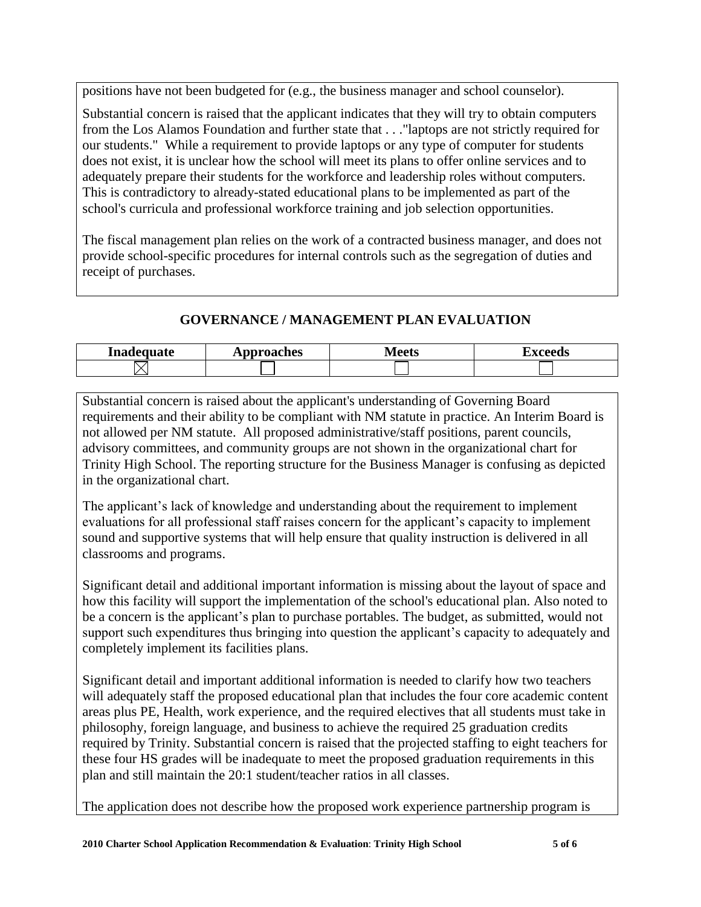positions have not been budgeted for (e.g., the business manager and school counselor).

Substantial concern is raised that the applicant indicates that they will try to obtain computers from the Los Alamos Foundation and further state that . . ."laptops are not strictly required for our students." While a requirement to provide laptops or any type of computer for students does not exist, it is unclear how the school will meet its plans to offer online services and to adequately prepare their students for the workforce and leadership roles without computers. This is contradictory to already-stated educational plans to be implemented as part of the school's curricula and professional workforce training and job selection opportunities.

The fiscal management plan relies on the work of a contracted business manager, and does not provide school-specific procedures for internal controls such as the segregation of duties and receipt of purchases.

## **GOVERNANCE / MANAGEMENT PLAN EVALUATION**

| Inadequate | <b>Approaches</b> | $A$ ant $\sim$ | ahaan d |
|------------|-------------------|----------------|---------|
|            | ЛU                | LUUD           | лим     |
|            |                   |                |         |

Substantial concern is raised about the applicant's understanding of Governing Board requirements and their ability to be compliant with NM statute in practice. An Interim Board is not allowed per NM statute. All proposed administrative/staff positions, parent councils, advisory committees, and community groups are not shown in the organizational chart for Trinity High School. The reporting structure for the Business Manager is confusing as depicted in the organizational chart.

The applicant's lack of knowledge and understanding about the requirement to implement evaluations for all professional staff raises concern for the applicant's capacity to implement sound and supportive systems that will help ensure that quality instruction is delivered in all classrooms and programs.

Significant detail and additional important information is missing about the layout of space and how this facility will support the implementation of the school's educational plan. Also noted to be a concern is the applicant's plan to purchase portables. The budget, as submitted, would not support such expenditures thus bringing into question the applicant's capacity to adequately and completely implement its facilities plans.

Significant detail and important additional information is needed to clarify how two teachers will adequately staff the proposed educational plan that includes the four core academic content areas plus PE, Health, work experience, and the required electives that all students must take in philosophy, foreign language, and business to achieve the required 25 graduation credits required by Trinity. Substantial concern is raised that the projected staffing to eight teachers for these four HS grades will be inadequate to meet the proposed graduation requirements in this plan and still maintain the 20:1 student/teacher ratios in all classes.

The application does not describe how the proposed work experience partnership program is